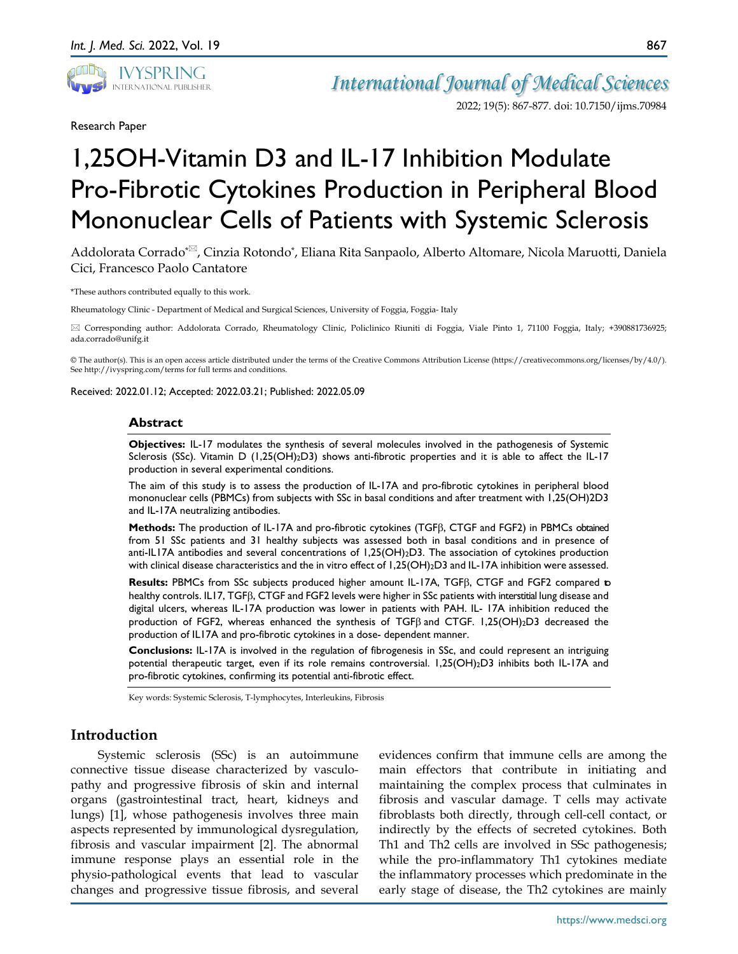

Research Paper

# 1,25OH-Vitamin D3 and IL-17 Inhibition Modulate Pro-Fibrotic Cytokines Production in Peripheral Blood Mononuclear Cells of Patients with Systemic Sclerosis

Addolorata Corrado<sup>\*<sub> $\Xi$ </sub>, Cinzia Rotondo<sup>\*</sup>, Eliana Rita Sanpaolo, Alberto Altomare, Nicola Maruotti, Daniela</sup> Cici, Francesco Paolo Cantatore

\*These authors contributed equally to this work.

Rheumatology Clinic - Department of Medical and Surgical Sciences, University of Foggia, Foggia- Italy

 Corresponding author: Addolorata Corrado, Rheumatology Clinic, Policlinico Riuniti di Foggia, Viale Pinto 1, 71100 Foggia, Italy; +390881736925; ada.corrado@unifg.it

© The author(s). This is an open access article distributed under the terms of the Creative Commons Attribution License (https://creativecommons.org/licenses/by/4.0/). See http://ivyspring.com/terms for full terms and conditions.

Received: 2022.01.12; Accepted: 2022.03.21; Published: 2022.05.09

#### **Abstract**

**Objectives:** IL-17 modulates the synthesis of several molecules involved in the pathogenesis of Systemic Sclerosis (SSc). Vitamin D (1,25(OH)<sub>2</sub>D3) shows anti-fibrotic properties and it is able to affect the IL-17 production in several experimental conditions.

The aim of this study is to assess the production of IL-17A and pro-fibrotic cytokines in peripheral blood mononuclear cells (PBMCs) from subjects with SSc in basal conditions and after treatment with 1,25(OH)2D3 and IL-17A neutralizing antibodies.

**Methods:** The production of IL-17A and pro-fibrotic cytokines (TGFβ, CTGF and FGF2) in PBMCs obtained from 51 SSc patients and 31 healthy subjects was assessed both in basal conditions and in presence of anti-IL17A antibodies and several concentrations of 1,25(OH)2D3. The association of cytokines production with clinical disease characteristics and the in vitro effect of 1,25(OH)<sub>2</sub>D3 and IL-17A inhibition were assessed.

**Results:** PBMCs from SSc subjects produced higher amount IL-17A, TGFβ, CTGF and FGF2 compared to healthy controls. IL17, TGFβ, CTGF and FGF2 levels were higher in SSc patients with interstitial lung disease and digital ulcers, whereas IL-17A production was lower in patients with PAH. IL- 17A inhibition reduced the production of FGF2, whereas enhanced the synthesis of TGFβ and CTGF. 1,25(OH)2D3 decreased the production of IL17A and pro-fibrotic cytokines in a dose- dependent manner.

**Conclusions:** IL-17A is involved in the regulation of fibrogenesis in SSc, and could represent an intriguing potential therapeutic target, even if its role remains controversial. 1,25(OH)2D3 inhibits both IL-17A and pro-fibrotic cytokines, confirming its potential anti-fibrotic effect.

Key words: Systemic Sclerosis, T-lymphocytes, Interleukins, Fibrosis

# **Introduction**

Systemic sclerosis (SSc) is an autoimmune connective tissue disease characterized by vasculopathy and progressive fibrosis of skin and internal organs (gastrointestinal tract, heart, kidneys and lungs) [1], whose pathogenesis involves three main aspects represented by immunological dysregulation, fibrosis and vascular impairment [2]. The abnormal immune response plays an essential role in the physio-pathological events that lead to vascular changes and progressive tissue fibrosis, and several

evidences confirm that immune cells are among the main effectors that contribute in initiating and maintaining the complex process that culminates in fibrosis and vascular damage. T cells may activate fibroblasts both directly, through cell-cell contact, or indirectly by the effects of secreted cytokines. Both Th1 and Th2 cells are involved in SSc pathogenesis; while the pro-inflammatory Th1 cytokines mediate the inflammatory processes which predominate in the early stage of disease, the Th2 cytokines are mainly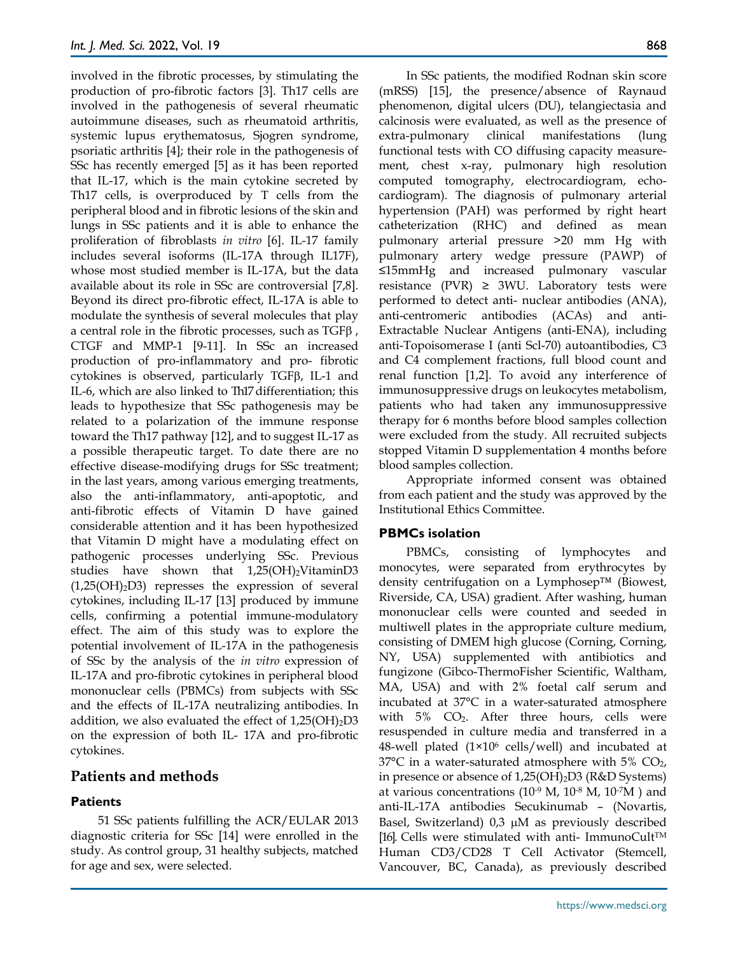involved in the fibrotic processes, by stimulating the production of pro-fibrotic factors [3]. Th17 cells are involved in the pathogenesis of several rheumatic autoimmune diseases, such as rheumatoid arthritis, systemic lupus erythematosus, Sjogren syndrome, psoriatic arthritis [4]; their role in the pathogenesis of SSc has recently emerged [5] as it has been reported that IL-17, which is the main cytokine secreted by Th17 cells, is overproduced by T cells from the peripheral blood and in fibrotic lesions of the skin and lungs in SSc patients and it is able to enhance the proliferation of fibroblasts *in vitro* [6]. IL-17 family includes several isoforms (IL-17A through IL17F), whose most studied member is IL-17A, but the data available about its role in SSc are controversial [7,8]. Beyond its direct pro-fibrotic effect, IL-17A is able to modulate the synthesis of several molecules that play a central role in the fibrotic processes, such as TGFβ , CTGF and MMP-1 [9-11]. In SSc an increased production of pro-inflammatory and pro- fibrotic cytokines is observed, particularly TGFβ, IL-1 and IL-6, which are also linked to Th17 differentiation; this leads to hypothesize that SSc pathogenesis may be related to a polarization of the immune response toward the Th17 pathway [12], and to suggest IL-17 as a possible therapeutic target. To date there are no effective disease-modifying drugs for SSc treatment; in the last years, among various emerging treatments, also the anti-inflammatory, anti-apoptotic, and anti-fibrotic effects of Vitamin D have gained considerable attention and it has been hypothesized that Vitamin D might have a modulating effect on pathogenic processes underlying SSc. Previous studies have shown that  $1,25(OH)_2V$ itaminD3  $(1,25(OH)_2D3)$  represses the expression of several cytokines, including IL-17 [13] produced by immune cells, confirming a potential immune-modulatory effect. The aim of this study was to explore the potential involvement of IL-17A in the pathogenesis of SSc by the analysis of the *in vitro* expression of IL-17A and pro-fibrotic cytokines in peripheral blood mononuclear cells (PBMCs) from subjects with SSc and the effects of IL-17A neutralizing antibodies. In addition, we also evaluated the effect of  $1,25(OH)_2D3$ on the expression of both IL- 17A and pro-fibrotic cytokines.

# **Patients and methods**

# **Patients**

51 SSc patients fulfilling the ACR/EULAR 2013 diagnostic criteria for SSc [14] were enrolled in the study. As control group, 31 healthy subjects, matched for age and sex, were selected.

In SSc patients, the modified Rodnan skin score (mRSS) [15], the presence/absence of Raynaud phenomenon, digital ulcers (DU), telangiectasia and calcinosis were evaluated, as well as the presence of extra-pulmonary clinical manifestations (lung functional tests with CO diffusing capacity measurement, chest x-ray, pulmonary high resolution computed tomography, electrocardiogram, echocardiogram). The diagnosis of pulmonary arterial hypertension (PAH) was performed by right heart catheterization (RHC) and defined as mean pulmonary arterial pressure >20 mm Hg with pulmonary artery wedge pressure (PAWP) of ≤15mmHg and increased pulmonary vascular resistance (PVR)  $\geq$  3WU. Laboratory tests were performed to detect anti- nuclear antibodies (ANA), anti-centromeric antibodies (ACAs) and anti-Extractable Nuclear Antigens (anti-ENA), including anti-Topoisomerase I (anti Scl-70) autoantibodies, C3 and C4 complement fractions, full blood count and renal function [1,2]. To avoid any interference of immunosuppressive drugs on leukocytes metabolism, patients who had taken any immunosuppressive therapy for 6 months before blood samples collection were excluded from the study. All recruited subjects stopped Vitamin D supplementation 4 months before blood samples collection.

Appropriate informed consent was obtained from each patient and the study was approved by the Institutional Ethics Committee.

# **PBMCs isolation**

PBMCs, consisting of lymphocytes and monocytes, were separated from erythrocytes by density centrifugation on a Lymphosep™ (Biowest, Riverside, CA, USA) gradient. After washing, human mononuclear cells were counted and seeded in multiwell plates in the appropriate culture medium, consisting of DMEM high glucose (Corning, Corning, NY, USA) supplemented with antibiotics and fungizone (Gibco-ThermoFisher Scientific, Waltham, MA, USA) and with 2% foetal calf serum and incubated at 37°C in a water-saturated atmosphere with 5% CO2. After three hours, cells were resuspended in culture media and transferred in a 48-well plated  $(1\times10^6 \text{ cells/well})$  and incubated at  $37^{\circ}$ C in a water-saturated atmosphere with 5% CO<sub>2</sub>, in presence or absence of  $1,25(OH)_2D3$  (R&D Systems) at various concentrations ( $10^{-9}$  M,  $10^{-8}$  M,  $10^{-7}$ M) and anti-IL-17A antibodies Secukinumab – (Novartis, Basel, Switzerland) 0,3 µM as previously described [16]. Cells were stimulated with anti- ImmunoCult<sup>TM</sup> Human CD3/CD28 T Cell Activator (Stemcell, Vancouver, BC, Canada), as previously described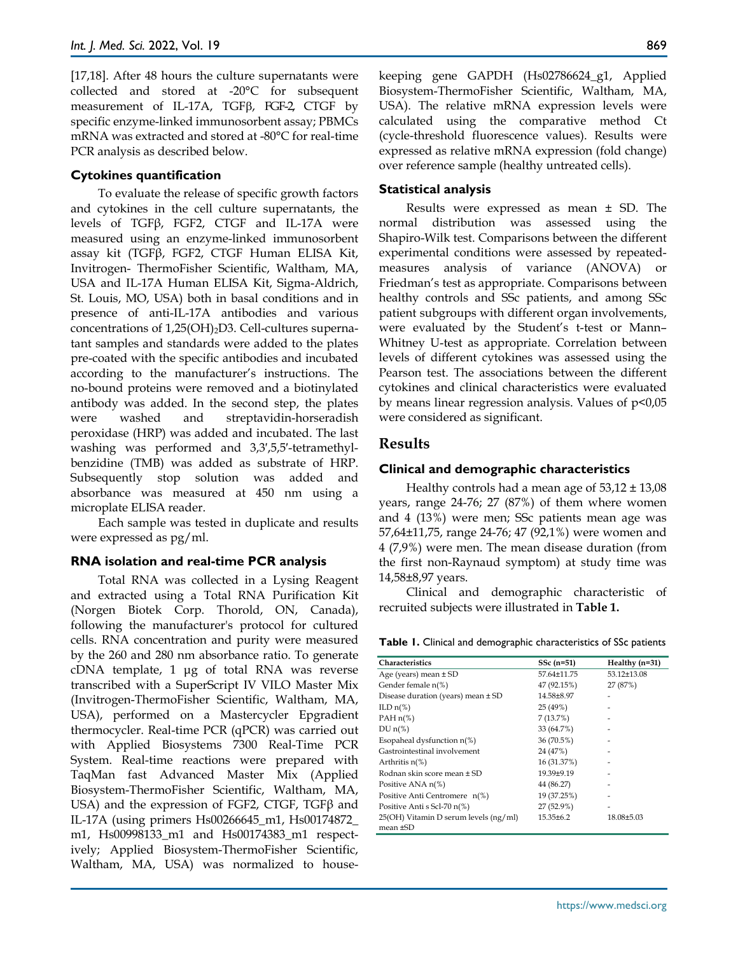[17,18]. After 48 hours the culture supernatants were collected and stored at -20°C for subsequent measurement of IL-17A, TGFβ, FGF-2, CTGF by specific enzyme-linked immunosorbent assay; PBMCs mRNA was extracted and stored at -80°C for real-time PCR analysis as described below.

### **Cytokines quantification**

To evaluate the release of specific growth factors and cytokines in the cell culture supernatants, the levels of TGFβ, FGF2, CTGF and IL-17A were measured using an enzyme-linked immunosorbent assay kit (TGFβ, FGF2, CTGF Human ELISA Kit, Invitrogen- ThermoFisher Scientific, Waltham, MA, USA and IL-17A Human ELISA Kit, Sigma-Aldrich, St. Louis, MO, USA) both in basal conditions and in presence of anti-IL-17A antibodies and various concentrations of  $1,25(OH)_2D3$ . Cell-cultures supernatant samples and standards were added to the plates pre-coated with the specific antibodies and incubated according to the manufacturer's instructions. The no-bound proteins were removed and a biotinylated antibody was added. In the second step, the plates were washed and streptavidin-horseradish peroxidase (HRP) was added and incubated. The last washing was performed and 3,3',5,5'-tetramethylbenzidine (TMB) was added as substrate of HRP. Subsequently stop solution was added and absorbance was measured at 450 nm using a microplate ELISA reader.

Each sample was tested in duplicate and results were expressed as pg/ml.

#### **RNA isolation and real-time PCR analysis**

Total RNA was collected in a Lysing Reagent and extracted using a Total RNA Purification Kit (Norgen Biotek Corp. Thorold, ON, Canada), following the manufacturer's protocol for cultured cells. RNA concentration and purity were measured by the 260 and 280 nm absorbance ratio. To generate cDNA template, 1 μg of total RNA was reverse transcribed with a SuperScript IV VILO Master Mix (Invitrogen-ThermoFisher Scientific, Waltham, MA, USA), performed on a Mastercycler Epgradient thermocycler. Real-time PCR (qPCR) was carried out with Applied Biosystems 7300 Real-Time PCR System. Real-time reactions were prepared with TaqMan fast Advanced Master Mix (Applied Biosystem-ThermoFisher Scientific, Waltham, MA, USA) and the expression of FGF2, CTGF, TGF $\beta$  and IL-17A (using primers Hs00266645\_m1, Hs00174872\_ m1, Hs00998133\_m1 and Hs00174383\_m1 respectively; Applied Biosystem-ThermoFisher Scientific, Waltham, MA, USA) was normalized to housekeeping gene GAPDH (Hs02786624\_g1, Applied Biosystem-ThermoFisher Scientific, Waltham, MA, USA). The relative mRNA expression levels were calculated using the comparative method Ct (cycle-threshold fluorescence values). Results were expressed as relative mRNA expression (fold change) over reference sample (healthy untreated cells).

#### **Statistical analysis**

Results were expressed as mean ± SD. The normal distribution was assessed using the Shapiro-Wilk test. Comparisons between the different experimental conditions were assessed by repeatedmeasures analysis of variance (ANOVA) or Friedman's test as appropriate. Comparisons between healthy controls and SSc patients, and among SSc patient subgroups with different organ involvements, were evaluated by the Student's t-test or Mann– Whitney U-test as appropriate. Correlation between levels of different cytokines was assessed using the Pearson test. The associations between the different cytokines and clinical characteristics were evaluated by means linear regression analysis. Values of  $p<0.05$ were considered as significant.

### **Results**

#### **Clinical and demographic characteristics**

Healthy controls had a mean age of  $53,12 \pm 13,08$ years, range 24-76; 27 (87%) of them where women and 4 (13%) were men; SSc patients mean age was 57,64±11,75, range 24-76; 47 (92,1%) were women and 4 (7,9%) were men. The mean disease duration (from the first non-Raynaud symptom) at study time was 14,58±8,97 years.

Clinical and demographic characteristic of recruited subjects were illustrated in **Table 1.**

**Table 1.** Clinical and demographic characteristics of SSc patients

| Characteristics                                        | $SSc(n=51)$     | Healthy $(n=31)$ |
|--------------------------------------------------------|-----------------|------------------|
| Age (years) mean $\pm$ SD                              | 57.64±11.75     | 53.12±13.08      |
| Gender female n(%)                                     | 47 (92.15%)     | 27 (87%)         |
| Disease duration (years) mean ± SD                     | 14.58±8.97      | ٠                |
| ILD $n(\%)$                                            | 25 (49%)        |                  |
| PAH $n$ <sup>(%)</sup>                                 | 7(13.7%)        |                  |
| $DU n(\%)$                                             | 33 (64.7%)      |                  |
| Esopaheal dysfunction $n$ (%)                          | 36 (70.5%)      |                  |
| Gastrointestinal involvement                           | 24 (47%)        |                  |
| Arthritis $n(\%)$                                      | 16 (31.37%)     |                  |
| Rodnan skin score mean ± SD                            | 19.39±9.19      |                  |
| Positive ANA n(%)                                      | 44 (86.27)      |                  |
| Positive Anti Centromere n(%)                          | 19 (37.25%)     |                  |
| Positive Anti s Scl-70 n(%)                            | 27 (52.9%)      | ۰                |
| 25(OH) Vitamin D serum levels (ng/ml)<br>$mean \pm SD$ | $15.35 \pm 6.2$ | 18.08±5.03       |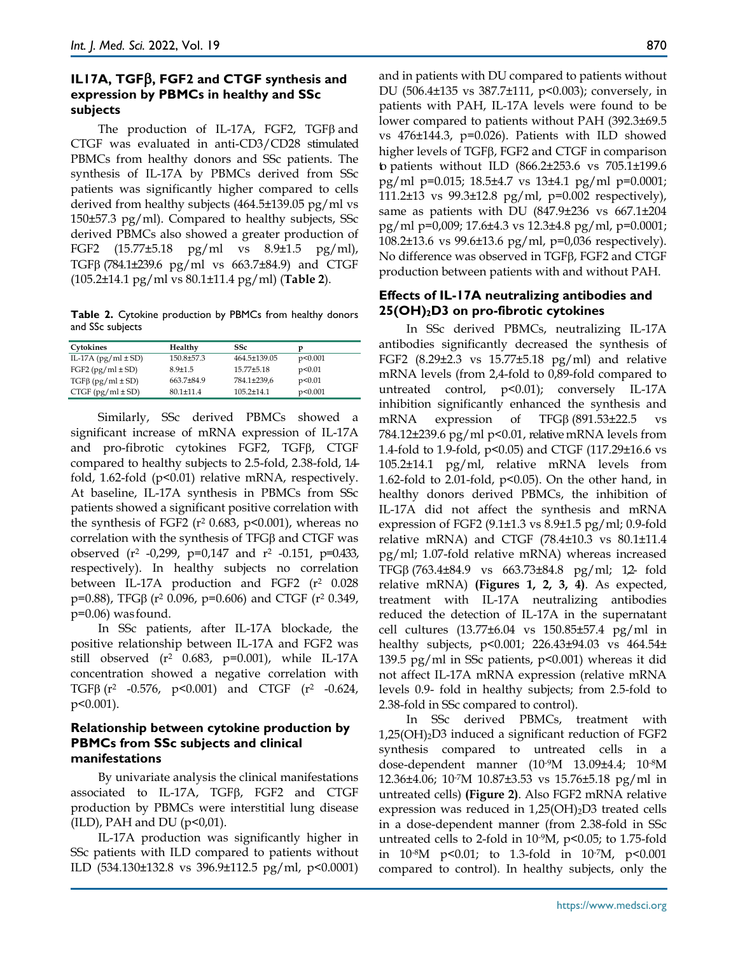# **IL17A, TGF**β**, FGF2 and CTGF synthesis and expression by PBMCs in healthy and SSc subjects**

The production of IL-17A, FGF2, TGFβ and CTGF was evaluated in anti-CD3/CD28 stimulated PBMCs from healthy donors and SSc patients. The synthesis of IL-17A by PBMCs derived from SSc patients was significantly higher compared to cells derived from healthy subjects (464.5±139.05 pg/ml vs 150±57.3 pg/ml). Compared to healthy subjects, SSc derived PBMCs also showed a greater production of FGF2 (15.77±5.18 pg/ml vs 8.9±1.5 pg/ml), TGFβ (784.1±239.6 pg/ml vs 663.7±84.9) and CTGF (105.2±14.1 pg/ml vs 80.1±11.4 pg/ml) (**Table 2**).

**Table 2.** Cytokine production by PBMCs from healthy donors and SSc subjects

| Cytokines                   | Healthy       | SSc              |         |
|-----------------------------|---------------|------------------|---------|
| IL-17A $(pg/ml \pm SD)$     | 150.8±57.3    | 464.5±139.05     | p<0.001 |
| FGF2 ( $pg/ml \pm SD$ )     | $8.9 + 1.5$   | 15.77±5.18       | p<0.01  |
| $TGF\beta$ (pg/ml $\pm$ SD) | 663.7±84.9    | 784.1±239,6      | p<0.01  |
| $CTGF (pg/ml \pm SD)$       | $80.1 + 11.4$ | $105.2 \pm 14.1$ | p<0.001 |

Similarly, SSc derived PBMCs showed a significant increase of mRNA expression of IL-17A and pro-fibrotic cytokines FGF2, TGFβ, CTGF compared to healthy subjects to 2.5-fold, 2.38-fold, 1.4 fold, 1.62-fold (p<0.01) relative mRNA, respectively. At baseline, IL-17A synthesis in PBMCs from SSc patients showed a significant positive correlation with the synthesis of FGF2 ( $r^2$  0.683,  $p$ <0.001), whereas no correlation with the synthesis of TFGβ and CTGF was observed (r2 -0,299, p=0,147 and r2 -0.151, p=0.433, respectively). In healthy subjects no correlation between IL-17A production and FGF2 (r<sup>2</sup> 0.028 p=0.88), TFGβ (r2 0.096, p=0.606) and CTGF (r2 0.349, p=0.06) was found.

In SSc patients, after IL-17A blockade, the positive relationship between IL-17A and FGF2 was still observed (r2 0.683, p=0.001), while IL-17A concentration showed a negative correlation with TGFβ ( $r^2$  -0.576,  $p < 0.001$ ) and CTGF ( $r^2$  -0.624, p<0.001).

## **Relationship between cytokine production by PBMCs from SSc subjects and clinical manifestations**

By univariate analysis the clinical manifestations associated to IL-17A, TGFβ, FGF2 and CTGF production by PBMCs were interstitial lung disease  $(ILD)$ , PAH and DU ( $p<0.01$ ).

IL-17A production was significantly higher in SSc patients with ILD compared to patients without ILD (534.130±132.8 vs 396.9±112.5 pg/ml, p<0.0001) and in patients with DU compared to patients without DU (506.4±135 vs 387.7±111, p<0.003); conversely, in patients with PAH, IL-17A levels were found to be lower compared to patients without PAH (392.3±69.5 vs 476±144.3, p=0.026). Patients with ILD showed higher levels of TGFβ, FGF2 and CTGF in comparison to patients without ILD (866.2±253.6 vs 705.1±199.6 pg/ml p=0.015; 18.5±4.7 vs 13±4.1 pg/ml p=0.0001; 111.2±13 vs 99.3±12.8 pg/ml, p=0.002 respectively), same as patients with DU (847.9±236 vs 667.1±204 pg/ml p=0,009; 17.6±4.3 vs 12.3±4.8 pg/ml, p=0.0001; 108.2±13.6 vs 99.6±13.6 pg/ml, p=0,036 respectively). No difference was observed in TGFβ, FGF2 and CTGF production between patients with and without PAH.

# **Effects of IL-17A neutralizing antibodies and 25(OH)2D3 on pro-fibrotic cytokines**

In SSc derived PBMCs, neutralizing IL-17A antibodies significantly decreased the synthesis of FGF2 (8.29±2.3 vs 15.77±5.18 pg/ml) and relative mRNA levels (from 2,4-fold to 0,89-fold compared to untreated control, p<0.01); conversely IL-17A inhibition significantly enhanced the synthesis and mRNA expression of TFGβ (891.53±22.5 vs 784.12±239.6 pg/ml p<0.01, relative mRNA levels from 1.4-fold to 1.9-fold, p<0.05) and CTGF (117.29±16.6 vs 105.2±14.1 pg/ml, relative mRNA levels from 1.62-fold to 2.01-fold,  $p<0.05$ ). On the other hand, in healthy donors derived PBMCs, the inhibition of IL-17A did not affect the synthesis and mRNA expression of FGF2 (9.1±1.3 vs 8.9±1.5 pg/ml; 0.9-fold relative mRNA) and CTGF (78.4±10.3 vs 80.1±11.4 pg/ml; 1.07-fold relative mRNA) whereas increased TFGβ (763.4±84.9 vs 663.73±84.8 pg/ml; 1,2- fold relative mRNA) **(Figures 1, 2, 3, 4)**. As expected, treatment with IL-17A neutralizing antibodies reduced the detection of IL-17A in the supernatant cell cultures (13.77±6.04 vs 150.85±57.4 pg/ml in healthy subjects, p<0.001; 226.43±94.03 vs 464.54± 139.5 pg/ml in SSc patients, p<0.001) whereas it did not affect IL-17A mRNA expression (relative mRNA levels 0.9- fold in healthy subjects; from 2.5-fold to 2.38-fold in SSc compared to control).

In SSc derived PBMCs, treatment with  $1,25(OH)<sub>2</sub>D3$  induced a significant reduction of FGF2 synthesis compared to untreated cells in a dose-dependent manner (10-9M 13.09±4.4; 10-8M 12.36±4.06; 10-7M 10.87±3.53 vs 15.76±5.18 pg/ml in untreated cells) **(Figure 2)**. Also FGF2 mRNA relative expression was reduced in  $1,25(OH)<sub>2</sub>D3$  treated cells in a dose-dependent manner (from 2.38-fold in SSc untreated cells to 2-fold in 10-9M, p<0.05; to 1.75-fold in  $10^{-8}M$  p<0.01; to 1.3-fold in  $10^{-7}M$ , p<0.001 compared to control). In healthy subjects, only the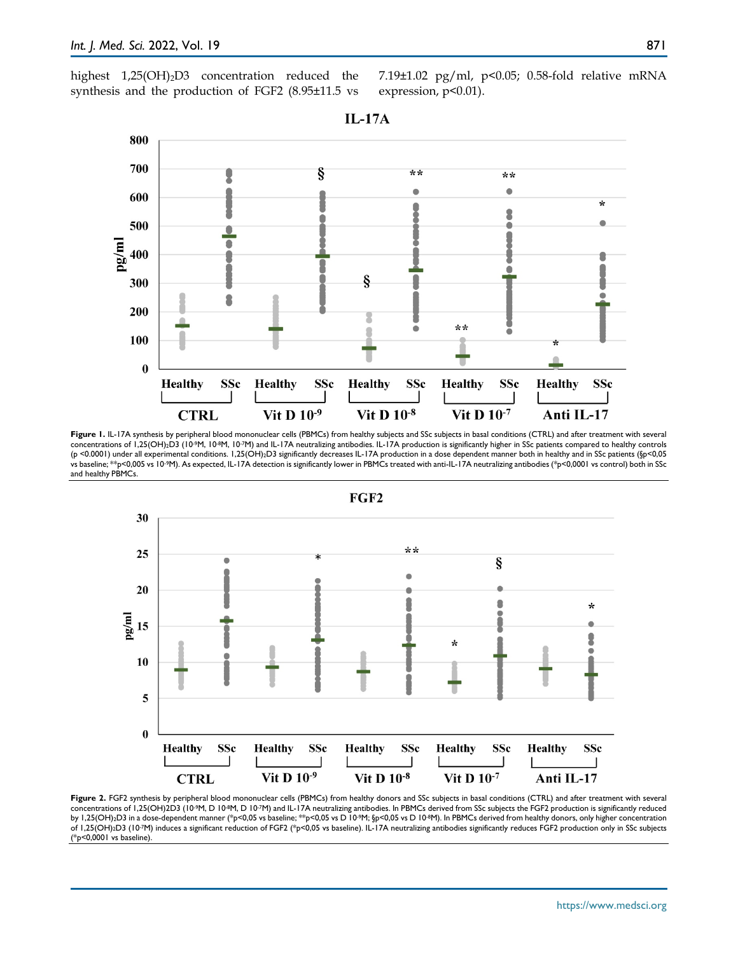highest  $1,25(OH)<sub>2</sub>D3$  concentration reduced the synthesis and the production of FGF2 (8.95±11.5 vs 7.19±1.02 pg/ml, p<0.05; 0.58-fold relative mRNA expression, p<0.01).

800 700 §  $**$  $**$ ò  $\bullet$ 600 ÷ 500  $\log$ ۵ 400 ٥ ş 300 8 200 \*\* ۰ Ó 100  $\bf{0}$ **Healthy SSc Healthy** SSc **Healthy SSc Healthy** SSc **SSc** Healthy Vit D  $10^{-7}$ Vit  $D$  10<sup>-8</sup> Vit D  $10^{-9}$ Anti II **CTRL**  $\overline{17}$ 

Figure 1. IL-17A synthesis by peripheral blood mononuclear cells (PBMCs) from healthy subjects and SSc subjects in basal conditions (CTRL) and after treatment with several concentrations of 1,25(OH)2D3 (10-9M, 10-8M, 10-7M) and IL-17A neutralizing antibodies. IL-17A production is significantly higher in SSc patients compared to healthy controls (p <0.0001) under all experimental conditions. 1,25(OH)2D3 significantly decreases IL-17A production in a dose dependent manner both in healthy and in SSc patients (§p<0,05 vs baseline; \*\*p<0,005 vs 10-9M). As expected, IL-17A detection is significantly lower in PBMCs treated with anti-IL-17A neutralizing antibodies (\*p<0,0001 vs control) both in SSc and healthy PBMCs.



**Figure 2.** FGF2 synthesis by peripheral blood mononuclear cells (PBMCs) from healthy donors and SSc subjects in basal conditions (CTRL) and after treatment with several concentrations of 1,25(OH)2D3 (10-9M, D 10-8M, D 10-7M) and IL-17A neutralizing antibodies. In PBMCs derived from SSc subjects the FGF2 production is significantly reduced by 1,25(OH)2D3 in a dose-dependent manner (\*p<0,05 vs baseline; \*\*p<0,05 vs D 10-9M; §p<0,05 vs D 10-8M). In PBMCs derived from healthy donors, only higher concentration of 1,25(OH)2D3 (10-7M) induces a significant reduction of FGF2 (\*p<0,05 vs baseline). IL-17A neutralizing antibodies significantly reduces FGF2 production only in SSc subjects (\*p<0,0001 vs baseline).

#### **IL-17A**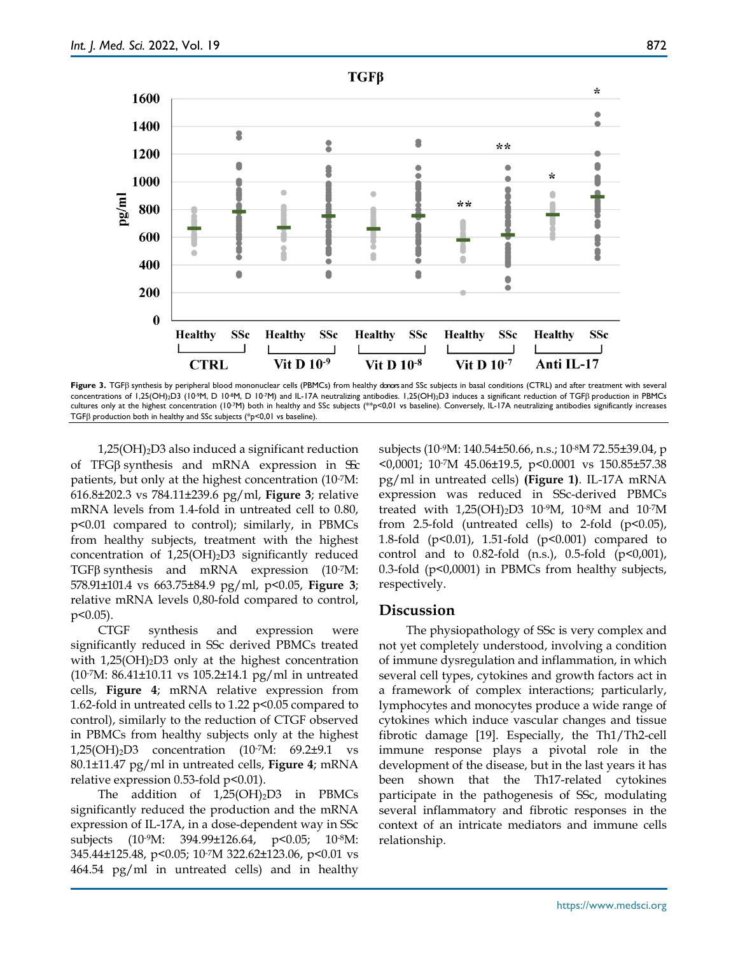

**Figure 3.** TGFβ synthesis by peripheral blood mononuclear cells (PBMCs) from healthy donors and SSc subjects in basal conditions (CTRL) and after treatment with several concentrations of 1,25(OH)<sub>2</sub>D3 (10<sup>.9</sup>M, D 10<sup>.8</sup>M, D 10<sup>.7</sup>M) and IL-17A neutralizing antibodies. 1,25(OH)<sub>2</sub>D3 induces a significant reduction of TGFβ production in PBMCs cultures only at the highest concentration (10-7M) both in healthy and SSc subjects (\*\*p<0,01 vs baseline). Conversely, IL-17A neutralizing antibodies significantly increases TGFβ production both in healthy and SSc subjects (\*p<0,01 vs baseline).

 $1,25(OH)<sub>2</sub>$ D3 also induced a significant reduction of TFG $\beta$  synthesis and mRNA expression in SSc patients, but only at the highest concentration (10-7M: 616.8±202.3 vs 784.11±239.6 pg/ml, **Figure 3**; relative mRNA levels from 1.4-fold in untreated cell to 0.80, p<0.01 compared to control); similarly, in PBMCs from healthy subjects, treatment with the highest concentration of  $1,25(OH)<sub>2</sub>D3$  significantly reduced TGFβ synthesis and mRNA expression (10-7M: 578.91±101.4 vs 663.75±84.9 pg/ml, p<0.05, **Figure 3**; relative mRNA levels 0,80-fold compared to control,  $p<0.05$ ).

CTGF synthesis and expression were significantly reduced in SSc derived PBMCs treated with  $1,25(OH)_2D3$  only at the highest concentration (10-7M: 86.41±10.11 vs 105.2±14.1 pg/ml in untreated cells, **Figure 4**; mRNA relative expression from 1.62-fold in untreated cells to 1.22  $p<0.05$  compared to control), similarly to the reduction of CTGF observed in PBMCs from healthy subjects only at the highest 1,25(OH)2D3 concentration (10-7M: 69.2±9.1 vs 80.1±11.47 pg/ml in untreated cells, **Figure 4**; mRNA relative expression 0.53-fold p<0.01).

The addition of  $1,25(OH)_2D3$  in PBMCs significantly reduced the production and the mRNA expression of IL-17A, in a dose-dependent way in SSc subjects (10-9M: 394.99±126.64, p<0.05; 10-8M: 345.44±125.48, p<0.05; 10-7M 322.62±123.06, p<0.01 vs 464.54 pg/ml in untreated cells) and in healthy subjects (10-9M: 140.54±50.66, n.s.; 10-8M 72.55±39.04, p <0,0001; 10-7M 45.06±19.5, p<0.0001 vs 150.85±57.38 pg/ml in untreated cells) **(Figure 1)**. IL-17A mRNA expression was reduced in SSc-derived PBMCs treated with  $1,25(OH)_2D3$  10<sup>-9</sup>M, 10<sup>-8</sup>M and 10<sup>-7</sup>M from 2.5-fold (untreated cells) to 2-fold  $(p<0.05)$ , 1.8-fold (p<0.01), 1.51-fold (p<0.001) compared to control and to  $0.82$ -fold  $(n.s.)$ ,  $0.5$ -fold  $(p<0.001)$ , 0.3-fold (p<0,0001) in PBMCs from healthy subjects, respectively.

# **Discussion**

The physiopathology of SSc is very complex and not yet completely understood, involving a condition of immune dysregulation and inflammation, in which several cell types, cytokines and growth factors act in a framework of complex interactions; particularly, lymphocytes and monocytes produce a wide range of cytokines which induce vascular changes and tissue fibrotic damage [19]. Especially, the Th1/Th2-cell immune response plays a pivotal role in the development of the disease, but in the last years it has been shown that the Th17-related cytokines participate in the pathogenesis of SSc, modulating several inflammatory and fibrotic responses in the context of an intricate mediators and immune cells relationship.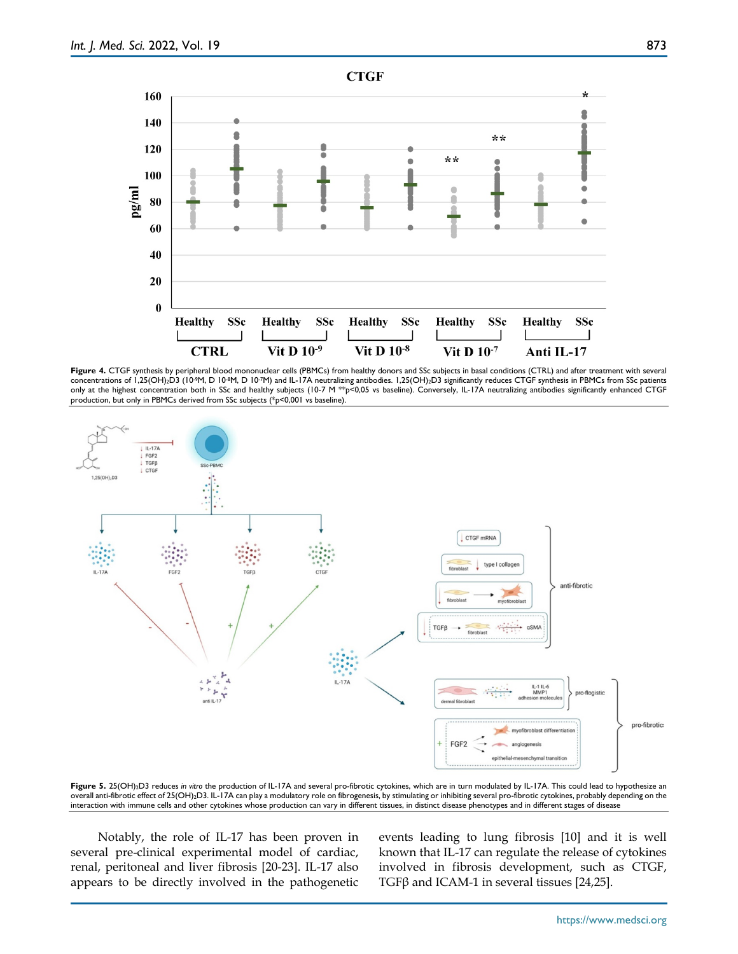

Figure 4. CTGF synthesis by peripheral blood mononuclear cells (PBMCs) from healthy donors and SSc subjects in basal conditions (CTRL) and after treatment with several concentrations of 1,25(OH)2D3 (10-9M, D 10-8M, D 10-7M) and IL-17A neutralizing antibodies. 1,25(OH)2D3 significantly reduces CTGF synthesis in PBMCs from SSc patients only at the highest concentration both in SSc and healthy subjects (10-7 M \*\*p<0,05 vs baseline). Conversely, IL-17A neutralizing antibodies significantly enhanced CTGF production, but only in PBMCs derived from SSc subjects (\*p<0,001 vs baseline).



**Figure 5.** 25(OH)2D3 reduces *in vitro* the production of IL-17A and several pro-fibrotic cytokines, which are in turn modulated by IL-17A. This could lead to hypothesize an overall anti-fibrotic effect of 25(OH)2D3. IL-17A can play a modulatory role on fibrogenesis, by stimulating or inhibiting several pro-fibrotic cytokines, probably depending on the interaction with immune cells and other cytokines whose production can vary in different tissues, in distinct disease phenotypes and in different stages of disease

Notably, the role of IL-17 has been proven in several pre-clinical experimental model of cardiac, renal, peritoneal and liver fibrosis [20-23]. IL-17 also appears to be directly involved in the pathogenetic events leading to lung fibrosis [10] and it is well known that IL-17 can regulate the release of cytokines involved in fibrosis development, such as CTGF, TGF $\beta$  and ICAM-1 in several tissues [24,25].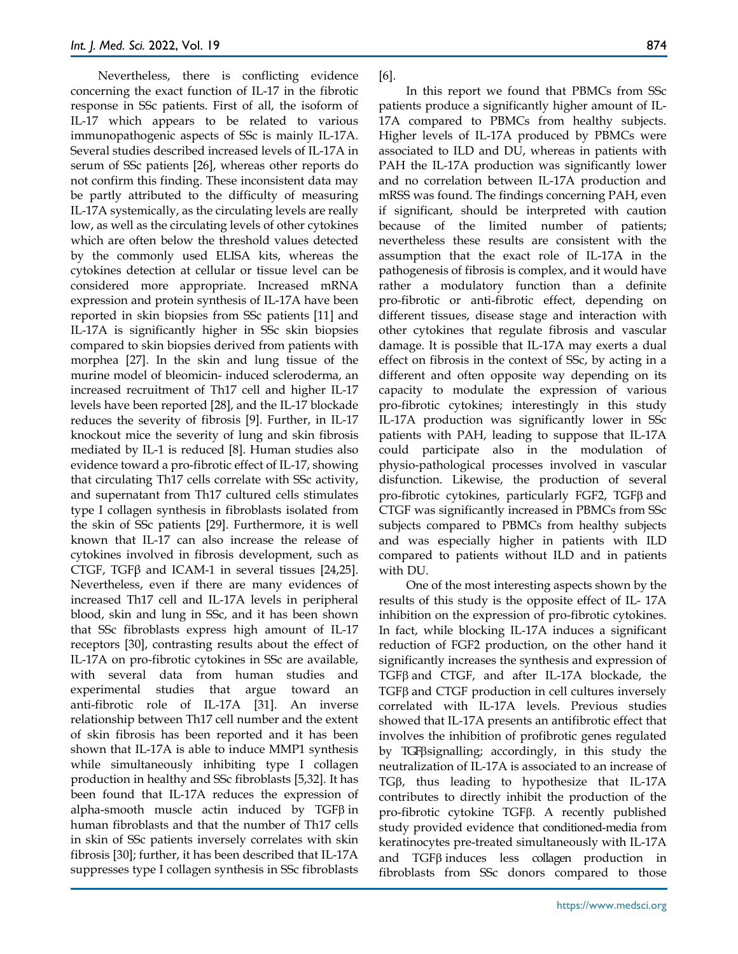Nevertheless, there is conflicting evidence concerning the exact function of IL-17 in the fibrotic response in SSc patients. First of all, the isoform of IL-17 which appears to be related to various immunopathogenic aspects of SSc is mainly IL-17A. Several studies described increased levels of IL-17A in serum of SSc patients [26], whereas other reports do not confirm this finding. These inconsistent data may be partly attributed to the difficulty of measuring IL-17A systemically, as the circulating levels are really low, as well as the circulating levels of other cytokines which are often below the threshold values detected by the commonly used ELISA kits, whereas the cytokines detection at cellular or tissue level can be considered more appropriate. Increased mRNA expression and protein synthesis of IL-17A have been reported in skin biopsies from SSc patients [11] and IL-17A is significantly higher in SSc skin biopsies compared to skin biopsies derived from patients with morphea [27]. In the skin and lung tissue of the murine model of bleomicin- induced scleroderma, an increased recruitment of Th17 cell and higher IL-17 levels have been reported [28], and the IL-17 blockade reduces the severity of fibrosis [9]. Further, in IL-17 knockout mice the severity of lung and skin fibrosis mediated by IL-1 is reduced [8]. Human studies also evidence toward a pro-fibrotic effect of IL-17, showing that circulating Th17 cells correlate with SSc activity, and supernatant from Th17 cultured cells stimulates type I collagen synthesis in fibroblasts isolated from the skin of SSc patients [29]. Furthermore, it is well known that IL-17 can also increase the release of cytokines involved in fibrosis development, such as CTGF, TGF $\beta$  and ICAM-1 in several tissues [24,25]. Nevertheless, even if there are many evidences of increased Th17 cell and IL-17A levels in peripheral blood, skin and lung in SSc, and it has been shown that SSc fibroblasts express high amount of IL-17 receptors [30], contrasting results about the effect of IL-17A on pro-fibrotic cytokines in SSc are available, with several data from human studies and experimental studies that argue toward an anti-fibrotic role of IL-17A [31]. An inverse relationship between Th17 cell number and the extent of skin fibrosis has been reported and it has been shown that IL-17A is able to induce MMP1 synthesis while simultaneously inhibiting type I collagen production in healthy and SSc fibroblasts [5,32]. It has been found that IL-17A reduces the expression of alpha-smooth muscle actin induced by TGFβ in human fibroblasts and that the number of Th17 cells in skin of SSc patients inversely correlates with skin fibrosis [30]; further, it has been described that IL-17A suppresses type I collagen synthesis in SSc fibroblasts

## [6].

In this report we found that PBMCs from SSc patients produce a significantly higher amount of IL-17A compared to PBMCs from healthy subjects. Higher levels of IL-17A produced by PBMCs were associated to ILD and DU, whereas in patients with PAH the IL-17A production was significantly lower and no correlation between IL-17A production and mRSS was found. The findings concerning PAH, even if significant, should be interpreted with caution because of the limited number of patients; nevertheless these results are consistent with the assumption that the exact role of IL-17A in the pathogenesis of fibrosis is complex, and it would have rather a modulatory function than a definite pro-fibrotic or anti-fibrotic effect, depending on different tissues, disease stage and interaction with other cytokines that regulate fibrosis and vascular damage. It is possible that IL-17A may exerts a dual effect on fibrosis in the context of SSc, by acting in a different and often opposite way depending on its capacity to modulate the expression of various pro-fibrotic cytokines; interestingly in this study IL-17A production was significantly lower in SSc patients with PAH, leading to suppose that IL-17A could participate also in the modulation of physio-pathological processes involved in vascular disfunction. Likewise, the production of several pro-fibrotic cytokines, particularly FGF2, TGFβ and CTGF was significantly increased in PBMCs from SSc subjects compared to PBMCs from healthy subjects and was especially higher in patients with ILD compared to patients without ILD and in patients with DU.

One of the most interesting aspects shown by the results of this study is the opposite effect of IL- 17A inhibition on the expression of pro-fibrotic cytokines. In fact, while blocking IL-17A induces a significant reduction of FGF2 production, on the other hand it significantly increases the synthesis and expression of TGFβ and CTGF, and after IL-17A blockade, the TGFβ and CTGF production in cell cultures inversely correlated with IL-17A levels. Previous studies showed that IL-17A presents an antifibrotic effect that involves the inhibition of profibrotic genes regulated by TGFβsignalling; accordingly, in this study the neutralization of IL-17A is associated to an increase of TGβ, thus leading to hypothesize that IL-17A contributes to directly inhibit the production of the pro-fibrotic cytokine TGFβ. A recently published study provided evidence that conditioned-media from keratinocytes pre-treated simultaneously with IL-17A and TGFβ induces less collagen production in fibroblasts from SSc donors compared to those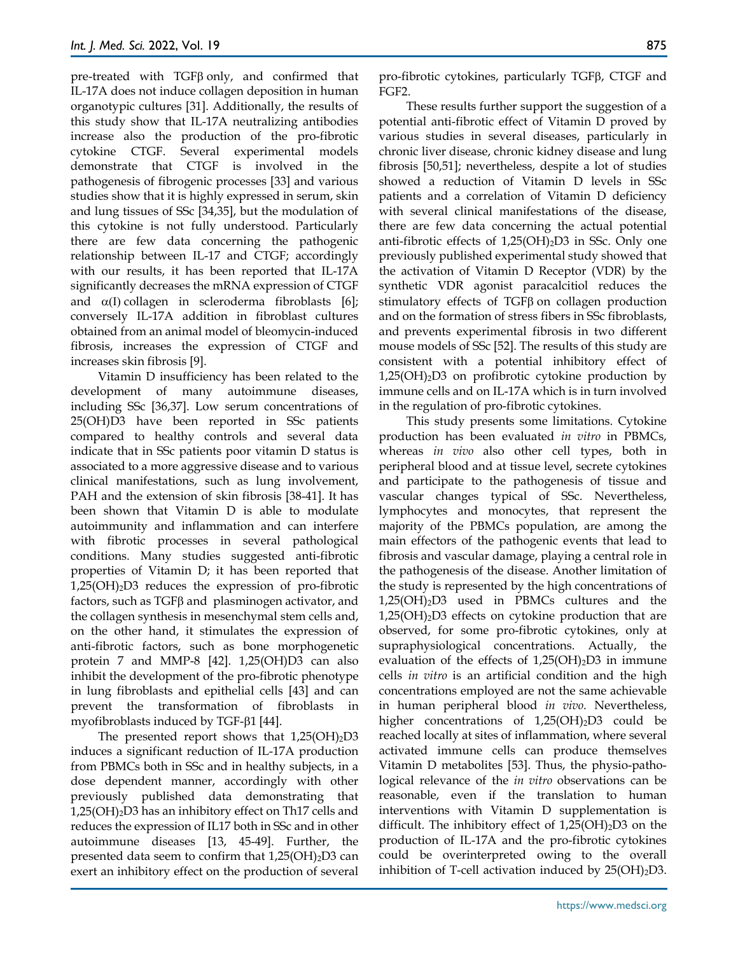pre-treated with TGFβ only, and confirmed that IL-17A does not induce collagen deposition in human organotypic cultures [31]. Additionally, the results of this study show that IL-17A neutralizing antibodies increase also the production of the pro-fibrotic cytokine CTGF. Several experimental models demonstrate that CTGF is involved in the pathogenesis of fibrogenic processes [33] and various studies show that it is highly expressed in serum, skin and lung tissues of SSc [34,35], but the modulation of this cytokine is not fully understood. Particularly there are few data concerning the pathogenic relationship between IL-17 and CTGF; accordingly with our results, it has been reported that IL-17A significantly decreases the mRNA expression of CTGF and  $\alpha(I)$  collagen in scleroderma fibroblasts [6]; conversely IL-17A addition in fibroblast cultures obtained from an animal model of bleomycin-induced fibrosis, increases the expression of CTGF and increases skin fibrosis [9].

Vitamin D insufficiency has been related to the development of many autoimmune diseases, including SSc [36,37]. Low serum concentrations of 25(OH)D3 have been reported in SSc patients compared to healthy controls and several data indicate that in SSc patients poor vitamin D status is associated to a more aggressive disease and to various clinical manifestations, such as lung involvement, PAH and the extension of skin fibrosis [38-41]. It has been shown that Vitamin D is able to modulate autoimmunity and inflammation and can interfere with fibrotic processes in several pathological conditions. Many studies suggested anti-fibrotic properties of Vitamin D; it has been reported that  $1,25(OH)<sub>2</sub>D3$  reduces the expression of pro-fibrotic factors, such as TGFβ and plasminogen activator, and the collagen synthesis in mesenchymal stem cells and, on the other hand, it stimulates the expression of anti-fibrotic factors, such as bone morphogenetic protein 7 and MMP-8 [42]. 1,25(OH)D3 can also inhibit the development of the pro-fibrotic phenotype in lung fibroblasts and epithelial cells [43] and can prevent the transformation of fibroblasts in myofibroblasts induced by TGF-β1 [44].

The presented report shows that  $1,25(OH)_{2}D3$ induces a significant reduction of IL-17A production from PBMCs both in SSc and in healthy subjects, in a dose dependent manner, accordingly with other previously published data demonstrating that  $1,25(OH)<sub>2</sub>D3$  has an inhibitory effect on Th17 cells and reduces the expression of IL17 both in SSc and in other autoimmune diseases [13, 45-49]. Further, the presented data seem to confirm that  $1,25(OH)_2D3$  can exert an inhibitory effect on the production of several

pro-fibrotic cytokines, particularly TGFβ, CTGF and FGF2.

These results further support the suggestion of a potential anti-fibrotic effect of Vitamin D proved by various studies in several diseases, particularly in chronic liver disease, chronic kidney disease and lung fibrosis [50,51]; nevertheless, despite a lot of studies showed a reduction of Vitamin D levels in SSc patients and a correlation of Vitamin D deficiency with several clinical manifestations of the disease, there are few data concerning the actual potential anti-fibrotic effects of  $1,25(OH)_2D3$  in SSc. Only one previously published experimental study showed that the activation of Vitamin D Receptor (VDR) by the synthetic VDR agonist paracalcitiol reduces the stimulatory effects of TGFβ on collagen production and on the formation of stress fibers in SSc fibroblasts, and prevents experimental fibrosis in two different mouse models of SSc [52]. The results of this study are consistent with a potential inhibitory effect of  $1,25(OH)<sub>2</sub>D3$  on profibrotic cytokine production by immune cells and on IL-17A which is in turn involved in the regulation of pro-fibrotic cytokines.

This study presents some limitations. Cytokine production has been evaluated *in vitro* in PBMCs, whereas *in vivo* also other cell types, both in peripheral blood and at tissue level, secrete cytokines and participate to the pathogenesis of tissue and vascular changes typical of SSc. Nevertheless, lymphocytes and monocytes, that represent the majority of the PBMCs population, are among the main effectors of the pathogenic events that lead to fibrosis and vascular damage, playing a central role in the pathogenesis of the disease. Another limitation of the study is represented by the high concentrations of 1,25(OH)2D3 used in PBMCs cultures and the  $1,25(OH)<sub>2</sub>D3$  effects on cytokine production that are observed, for some pro-fibrotic cytokines, only at supraphysiological concentrations. Actually, the evaluation of the effects of  $1,25(OH)_2D3$  in immune cells *in vitro* is an artificial condition and the high concentrations employed are not the same achievable in human peripheral blood *in vivo*. Nevertheless, higher concentrations of  $1,25(OH)_2D3$  could be reached locally at sites of inflammation, where several activated immune cells can produce themselves Vitamin D metabolites [53]. Thus, the physio-pathological relevance of the *in vitro* observations can be reasonable, even if the translation to human interventions with Vitamin D supplementation is difficult. The inhibitory effect of  $1,25(OH)_2D3$  on the production of IL-17A and the pro-fibrotic cytokines could be overinterpreted owing to the overall inhibition of T-cell activation induced by  $25(OH)_2D3$ .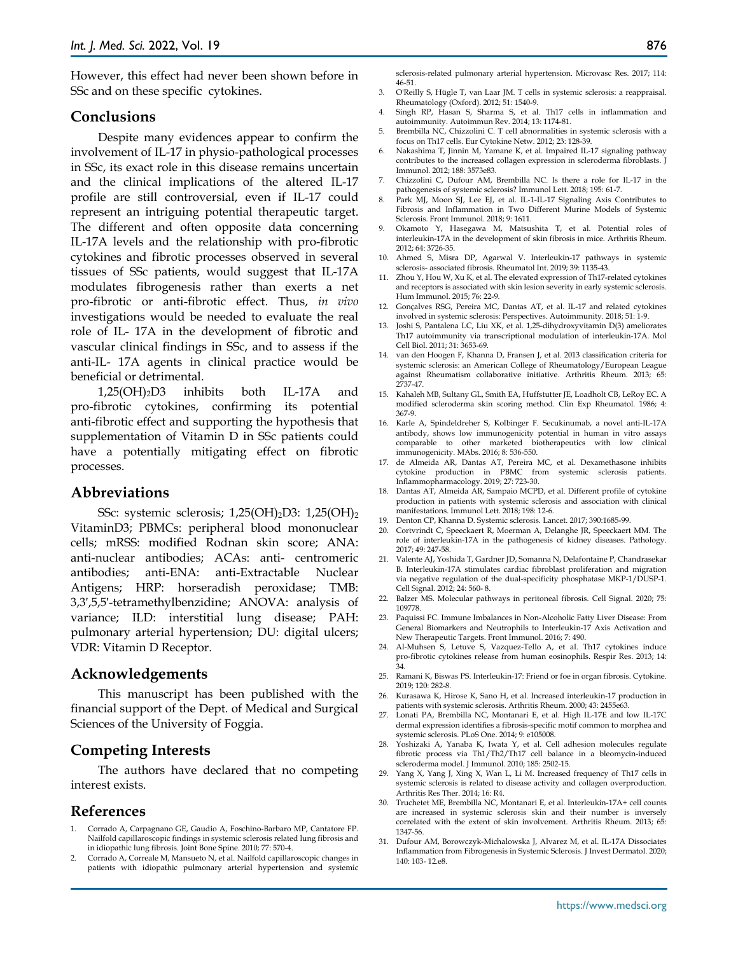However, this effect had never been shown before in SSc and on these specific cytokines.

#### **Conclusions**

Despite many evidences appear to confirm the involvement of IL-17 in physio-pathological processes in SSc, its exact role in this disease remains uncertain and the clinical implications of the altered IL-17 profile are still controversial, even if IL-17 could represent an intriguing potential therapeutic target. The different and often opposite data concerning IL-17A levels and the relationship with pro-fibrotic cytokines and fibrotic processes observed in several tissues of SSc patients, would suggest that IL-17A modulates fibrogenesis rather than exerts a net pro-fibrotic or anti-fibrotic effect. Thus, *in vivo* investigations would be needed to evaluate the real role of IL- 17A in the development of fibrotic and vascular clinical findings in SSc, and to assess if the anti-IL- 17A agents in clinical practice would be beneficial or detrimental.

1,25(OH)2D3 inhibits both IL-17A and pro-fibrotic cytokines, confirming its potential anti-fibrotic effect and supporting the hypothesis that supplementation of Vitamin D in SSc patients could have a potentially mitigating effect on fibrotic processes.

#### **Abbreviations**

SSc: systemic sclerosis; 1,25(OH)<sub>2</sub>D3: 1,25(OH)<sub>2</sub> VitaminD3; PBMCs: peripheral blood mononuclear cells; mRSS: modified Rodnan skin score; ANA: anti-nuclear antibodies; ACAs: anti- centromeric antibodies; anti-ENA: anti-Extractable Nuclear Antigens; HRP: horseradish peroxidase; TMB: 3,3′,5,5′-tetramethylbenzidine; ANOVA: analysis of variance; ILD: interstitial lung disease; PAH: pulmonary arterial hypertension; DU: digital ulcers; VDR: Vitamin D Receptor.

#### **Acknowledgements**

This manuscript has been published with the financial support of the Dept. of Medical and Surgical Sciences of the University of Foggia.

#### **Competing Interests**

The authors have declared that no competing interest exists.

#### **References**

- 1. Corrado A, Carpagnano GE, Gaudio A, Foschino-Barbaro MP, Cantatore FP. Nailfold capillaroscopic findings in systemic sclerosis related lung fibrosis and in idiopathic lung fibrosis. Joint Bone Spine. 2010; 77: 570-4.
- 2. Corrado A, Correale M, Mansueto N, et al. Nailfold capillaroscopic changes in patients with idiopathic pulmonary arterial hypertension and systemic

sclerosis-related pulmonary arterial hypertension. Microvasc Res. 2017; 114: 46-51.

- 3. O'Reilly S, Hügle T, van Laar JM. T cells in systemic sclerosis: a reappraisal. Rheumatology (Oxford). 2012; 51: 1540-9.
- 4. Singh RP, Hasan S, Sharma S, et al. Th17 cells in inflammation and autoimmunity. Autoimmun Rev. 2014; 13: 1174-81.
- 5. Brembilla NC, Chizzolini C. T cell abnormalities in systemic sclerosis with a focus on Th17 cells. Eur Cytokine Netw. 2012; 23: 128-39.
- 6. Nakashima T, Jinnin M, Yamane K, et al. Impaired IL-17 signaling pathway contributes to the increased collagen expression in scleroderma fibroblasts. J Immunol. 2012; 188: 3573e83.
- 7. Chizzolini C, Dufour AM, Brembilla NC. Is there a role for IL-17 in the pathogenesis of systemic sclerosis? Immunol Lett. 2018; 195: 61-7.
- 8. Park MJ, Moon SJ, Lee EJ, et al. IL-1-IL-17 Signaling Axis Contributes to Fibrosis and Inflammation in Two Different Murine Models of Systemic Sclerosis. Front Immunol. 2018; 9: 1611.
- 9. Okamoto Y, Hasegawa M, Matsushita T, et al. Potential roles of interleukin-17A in the development of skin fibrosis in mice. Arthritis Rheum. 2012; 64: 3726-35.
- 10. Ahmed S, Misra DP, Agarwal V. Interleukin-17 pathways in systemic sclerosis- associated fibrosis. Rheumatol Int. 2019; 39: 1135-43.
- 11. Zhou Y, Hou W, Xu K, et al. The elevated expression of Th17-related cytokines and receptors is associated with skin lesion severity in early systemic sclerosis. Hum Immunol. 2015; 76: 22-9.
- 12. Gonçalves RSG, Pereira MC, Dantas AT, et al. IL-17 and related cytokines involved in systemic sclerosis: Perspectives. Autoimmunity. 2018; 51: 1-9.
- 13. Joshi S, Pantalena LC, Liu XK, et al. 1,25-dihydroxyvitamin D(3) ameliorates Th17 autoimmunity via transcriptional modulation of interleukin-17A. Mol Cell Biol. 2011; 31: 3653-69.
- 14. van den Hoogen F, Khanna D, Fransen J, et al. 2013 classification criteria for systemic sclerosis: an American College of Rheumatology/European League against Rheumatism collaborative initiative. Arthritis Rheum. 2013; 65: 2737-47.
- 15. Kahaleh MB, Sultany GL, Smith EA, Huffstutter JE, Loadholt CB, LeRoy EC. A modified scleroderma skin scoring method. Clin Exp Rheumatol. 1986; 4: 367-9.
- 16. Karle A, Spindeldreher S, Kolbinger F. Secukinumab, a novel anti-IL-17A antibody, shows low immunogenicity potential in human in vitro assays comparable to other marketed biotherapeutics with low clinical immunogenicity. MAbs. 2016; 8: 536-550.
- 17. de Almeida AR, Dantas AT, Pereira MC, et al. Dexamethasone inhibits cytokine production in PBMC from systemic sclerosis patients. Inflammopharmacology. 2019; 27: 723-30.
- 18. Dantas AT, Almeida AR, Sampaio MCPD, et al. Different profile of cytokine production in patients with systemic sclerosis and association with clinical manifestations. Immunol Lett. 2018; 198: 12-6.
- 19. Denton CP, Khanna D. Systemic sclerosis. Lancet. 2017; 390:1685-99.
- 20. Cortvrindt C, Speeckaert R, Moerman A, Delanghe JR, Speeckaert MM. The role of interleukin-17A in the pathogenesis of kidney diseases. Pathology. 2017; 49: 247-58.
- 21. Valente AJ, Yoshida T, Gardner JD, Somanna N, Delafontaine P, Chandrasekar B. Interleukin-17A stimulates cardiac fibroblast proliferation and migration via negative regulation of the dual-specificity phosphatase MKP-1/DUSP-1. Cell Signal. 2012; 24: 560- 8.
- 22. Balzer MS. Molecular pathways in peritoneal fibrosis. Cell Signal. 2020; 75: 109778.
- 23. Paquissi FC. Immune Imbalances in Non-Alcoholic Fatty Liver Disease: From General Biomarkers and Neutrophils to Interleukin-17 Axis Activation and New Therapeutic Targets. Front Immunol. 2016; 7: 490.
- 24. Al-Muhsen S, Letuve S, Vazquez-Tello A, et al. Th17 cytokines induce pro-fibrotic cytokines release from human eosinophils. Respir Res. 2013; 14: 34.
- 25. Ramani K, Biswas PS. Interleukin-17: Friend or foe in organ fibrosis. Cytokine. 2019; 120: 282-8.
- 26. Kurasawa K, Hirose K, Sano H, et al. Increased interleukin-17 production in patients with systemic sclerosis. Arthritis Rheum. 2000; 43: 2455e63.
- 27. Lonati PA, Brembilla NC, Montanari E, et al. High IL-17E and low IL-17C dermal expression identifies a fibrosis-specific motif common to morphea and systemic sclerosis. PLoS One. 2014; 9: e105008.
- 28. Yoshizaki A, Yanaba K, Iwata Y, et al. Cell adhesion molecules regulate fibrotic process via Th1/Th2/Th17 cell balance in a bleomycin-induced scleroderma model. J Immunol. 2010; 185: 2502-15.
- 29. Yang X, Yang J, Xing X, Wan L, Li M. Increased frequency of Th17 cells in systemic sclerosis is related to disease activity and collagen overproduction. Arthritis Res Ther. 2014; 16: R4.
- 30. Truchetet ME, Brembilla NC, Montanari E, et al. Interleukin-17A+ cell counts are increased in systemic sclerosis skin and their number is inversely correlated with the extent of skin involvement. Arthritis Rheum. 2013; 65: 1347-56.
- 31. Dufour AM, Borowczyk-Michalowska J, Alvarez M, et al. IL-17A Dissociates Inflammation from Fibrogenesis in Systemic Sclerosis. J Invest Dermatol. 2020; 140: 103- 12.e8.